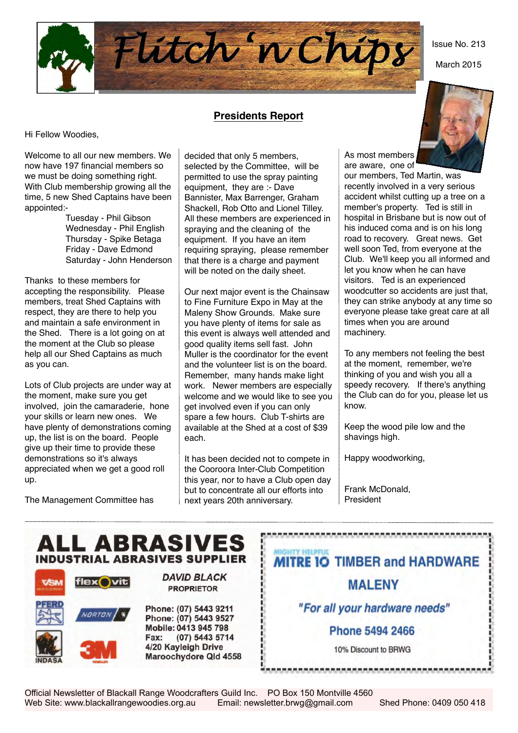

March 2015

### **Presidents Report**

Hi Fellow Woodies,

Welcome to all our new members. We now have 197 financial members so we must be doing something right. With Club membership growing all the time, 5 new Shed Captains have been appointed:-

> Tuesday - Phil Gibson Wednesday - Phil English Thursday - Spike Betaga Friday - Dave Edmond Saturday - John Henderson

Thanks to these members for accepting the responsibility. Please members, treat Shed Captains with respect, they are there to help you and maintain a safe environment in the Shed. There is a lot going on at the moment at the Club so please help all our Shed Captains as much as you can.

Lots of Club projects are under way at the moment, make sure you get involved, join the camaraderie, hone your skills or learn new ones. We have plenty of demonstrations coming up, the list is on the board. People give up their time to provide these demonstrations so it's always appreciated when we get a good roll up.

The Management Committee has

decided that only 5 members, selected by the Committee, will be permitted to use the spray painting equipment, they are :- Dave Bannister, Max Barrenger, Graham Shackell, Rob Otto and Lionel Tilley. All these members are experienced in spraying and the cleaning of the equipment. If you have an item requiring spraying, please remember that there is a charge and payment will be noted on the daily sheet.

Our next major event is the Chainsaw to Fine Furniture Expo in May at the Maleny Show Grounds. Make sure you have plenty of items for sale as this event is always well attended and good quality items sell fast. John Muller is the coordinator for the event and the volunteer list is on the board. Remember, many hands make light work. Newer members are especially welcome and we would like to see you get involved even if you can only spare a few hours. Club T-shirts are available at the Shed at a cost of \$39 each.

It has been decided not to compete in the Cooroora Inter-Club Competition this year, nor to have a Club open day but to concentrate all our efforts into next years 20th anniversary.

As most members are aware, one of

our members, Ted Martin, was recently involved in a very serious accident whilst cutting up a tree on a member's property. Ted is still in hospital in Brisbane but is now out of his induced coma and is on his long road to recovery. Great news. Get well soon Ted, from everyone at the Club. We'll keep you all informed and let you know when he can have visitors. Ted is an experienced woodcutter so accidents are just that, they can strike anybody at any time so everyone please take great care at all times when you are around machinery.

To any members not feeling the best at the moment, remember, we're thinking of you and wish you all a speedy recovery. If there's anything the Club can do for you, please let us know.

Keep the wood pile low and the shavings high.

Happy woodworking,

Frank McDonald, President

------------------------------------**ALL ABRASIVES** GHTY HELPFUL **INDUSTRIAL ARRASIVES SUPPLIER MITRE 10 TIMBER and HARDWARE DAVID BLACK** flex vit **MALENY PROPRIETOR** "For all your hardware needs" Phone: (07) 5443 9211 **NORTON** Phone: (07) 5443 9527 Mobile: 0413 945 798 **Phone 5494 2466** (07) 5443 5714 Fax: 4/20 Kayleigh Drive 10% Discount to BRWG Maroochydore Qld 4558 ,,,,,,,,,,,,,,,,,,,,,,,,,,,,,,,,



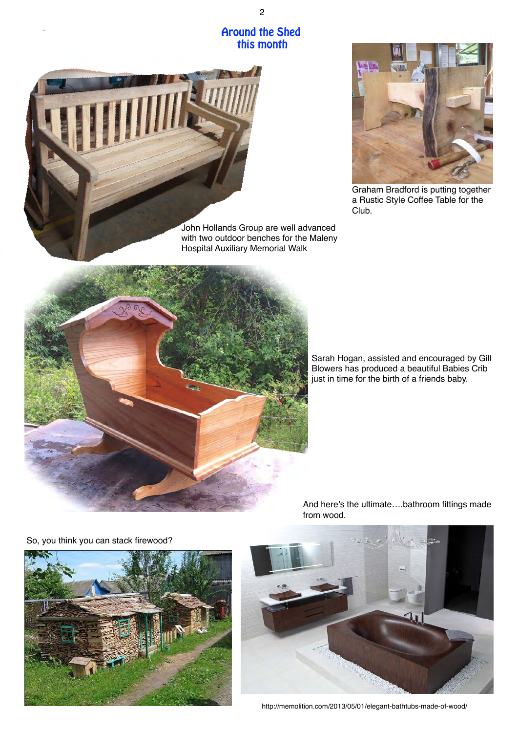Around the Shed this month





Graham Bradford is putting together a Rustic Style Coffee Table for the Club.



Sarah Hogan, assisted and encouraged by Gill Blowers has produced a beautiful Babies Crib just in time for the birth of a friends baby.

And here's the ultimate….bathroom fittings made from wood.

So, you think you can stack firewood?





<http://memolition.com/2013/05/01/elegant-bathtubs-made-of-wood/>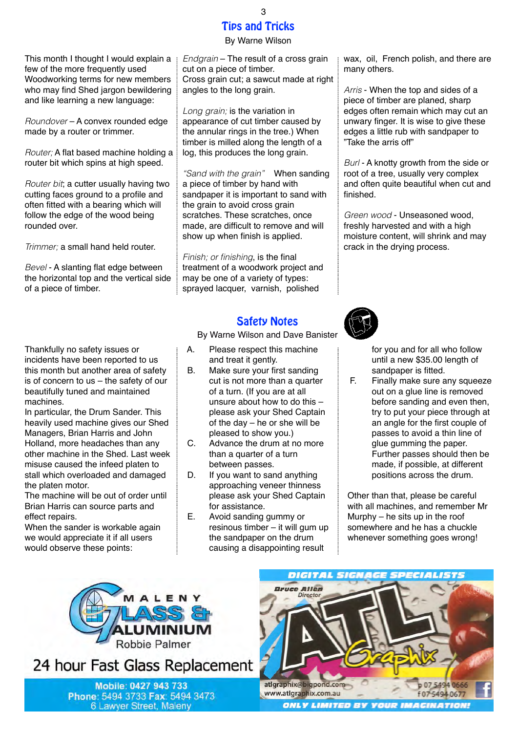# Tips and Tricks

3

By Warne Wilson

This month I thought I would explain a few of the more frequently used Woodworking terms for new members who may find Shed jargon bewildering and like learning a new language:

*Roundover* – A convex rounded edge made by a router or trimmer.

*Router;* A flat based machine holding a router bit which spins at high speed.

*Router bit*; a cutter usually having two cutting faces ground to a profile and often fitted with a bearing which will follow the edge of the wood being rounded over.

*Trimmer;* a small hand held router.

*Bevel* - A slanting flat edge between the horizontal top and the vertical side of a piece of timber.

Thankfully no safety issues or incidents have been reported to us this month but another area of safety is of concern to us – the safety of our beautifully tuned and maintained machines.

In particular, the Drum Sander. This heavily used machine gives our Shed Managers, Brian Harris and John Holland, more headaches than any other machine in the Shed. Last week misuse caused the infeed platen to stall which overloaded and damaged the platen motor.

The machine will be out of order until Brian Harris can source parts and effect repairs.

When the sander is workable again we would appreciate it if all users would observe these points:

*Endgrain* – The result of a cross grain cut on a piece of timber. Cross grain cut; a sawcut made at right angles to the long grain.

*Long grain;* is the variation in appearance of cut timber caused by the annular rings in the tree.) When timber is milled along the length of a log, this produces the long grain.

*"Sand with the grain"* When sanding a piece of timber by hand with sandpaper it is important to sand with the grain to avoid cross grain scratches. These scratches, once made, are difficult to remove and will show up when finish is applied.

*Finish; or finishing*, is the final treatment of a woodwork project and may be one of a variety of types: sprayed lacquer, varnish, polished

## Safety Notes

By Warne Wilson and Dave Banister

- A. Please respect this machine
- and treat it gently.<br>B Make sure your fir Make sure your first sanding cut is not more than a quarter of a turn. (If you are at all unsure about how to do this – please ask your Shed Captain of the day – he or she will be pleased to show you.)
- C. Advance the drum at no more than a quarter of a turn between passes.
- D. If you want to sand anything approaching veneer thinness please ask your Shed Captain for assistance.
- E. Avoid sanding gummy or resinous timber – it will gum up the sandpaper on the drum causing a disappointing result

wax, oil, French polish, and there are many others.

*Arris* - When the top and sides of a piece of timber are planed, sharp edges often remain which may cut an unwary finger. It is wise to give these edges a little rub with sandpaper to "Take the arris off"

*Burl* - A knotty growth from the side or root of a tree, usually very complex and often quite beautiful when cut and finished.

*Green wood* - Unseasoned wood, freshly harvested and with a high moisture content, will shrink and may crack in the drying process.



for you and for all who follow until a new \$35.00 length of sandpaper is fitted.

 F. Finally make sure any squeeze out on a glue line is removed before sanding and even then, try to put your piece through at an angle for the first couple of passes to avoid a thin line of glue gumming the paper. Further passes should then be made, if possible, at different positions across the drum.

Other than that, please be careful with all machines, and remember Mr Murphy – he sits up in the roof somewhere and he has a chuckle whenever something goes wrong!



24 hour Fast Glass Replacement

Mobile: 0427 943 733 Phone: 5494 3733 Fax: 5494 3473 6 Lawyer Street, Maleny

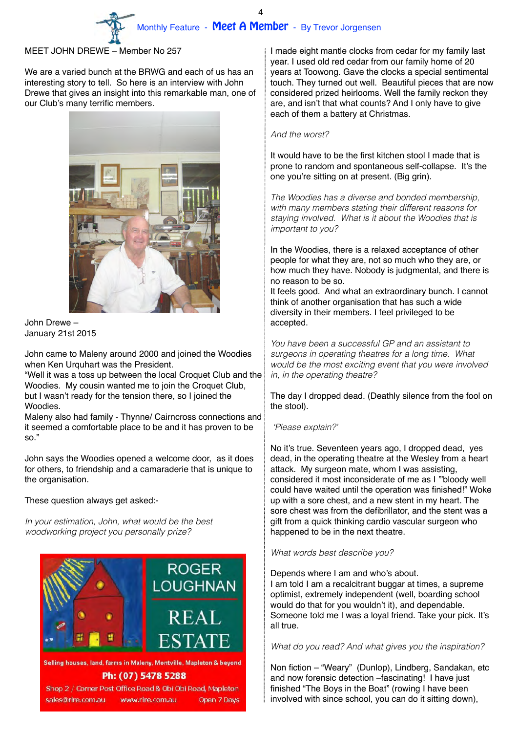## Monthly Feature - Meet A Member - By Trevor Jorgensen

#### MEET JOHN DREWE – Member No 257

We are a varied bunch at the BRWG and each of us has an interesting story to tell. So here is an interview with John Drewe that gives an insight into this remarkable man, one of our Club's many terrific members.



John Drewe – January 21st 2015

John came to Maleny around 2000 and joined the Woodies when Ken Urquhart was the President.

"Well it was a toss up between the local Croquet Club and the Woodies. My cousin wanted me to join the Croquet Club, but I wasn't ready for the tension there, so I joined the Woodies.

Maleny also had family - Thynne/ Cairncross connections and it seemed a comfortable place to be and it has proven to be so."

John says the Woodies opened a welcome door, as it does for others, to friendship and a camaraderie that is unique to the organisation.

These question always get asked:-

*In your estimation, John, what would be the best woodworking project you personally prize?*



I made eight mantle clocks from cedar for my family last year. I used old red cedar from our family home of 20 years at Toowong. Gave the clocks a special sentimental touch. They turned out well. Beautiful pieces that are now considered prized heirlooms. Well the family reckon they are, and isn't that what counts? And I only have to give each of them a battery at Christmas.

#### *And the worst?*

It would have to be the first kitchen stool I made that is prone to random and spontaneous self-collapse. It's the one you're sitting on at present. (Big grin).

*The Woodies has a diverse and bonded membership, with many members stating their different reasons for staying involved. What is it about the Woodies that is important to you?* 

In the Woodies, there is a relaxed acceptance of other people for what they are, not so much who they are, or how much they have. Nobody is judgmental, and there is no reason to be so.

It feels good. And what an extraordinary bunch. I cannot think of another organisation that has such a wide diversity in their members. I feel privileged to be accepted.

*You have been a successful GP and an assistant to surgeons in operating theatres for a long time. What would be the most exciting event that you were involved in, in the operating theatre?*

The day I dropped dead. (Deathly silence from the fool on the stool).

 *'Please explain?'*

No it's true. Seventeen years ago, I dropped dead, yes dead, in the operating theatre at the Wesley from a heart attack. My surgeon mate, whom I was assisting, considered it most inconsiderate of me as I '"bloody well could have waited until the operation was finished!" Woke up with a sore chest, and a new stent in my heart. The sore chest was from the defibrillator, and the stent was a gift from a quick thinking cardio vascular surgeon who happened to be in the next theatre.

*What words best describe you?*

Depends where I am and who's about. I am told I am a recalcitrant buggar at times, a supreme optimist, extremely independent (well, boarding school would do that for you wouldn't it), and dependable. Someone told me I was a loyal friend. Take your pick. It's all true.

#### *What do you read? And what gives you the inspiration?*

Non fiction – "Weary" (Dunlop), Lindberg, Sandakan, etc and now forensic detection –fascinating! I have just finished "The Boys in the Boat" (rowing I have been involved with since school, you can do it sitting down),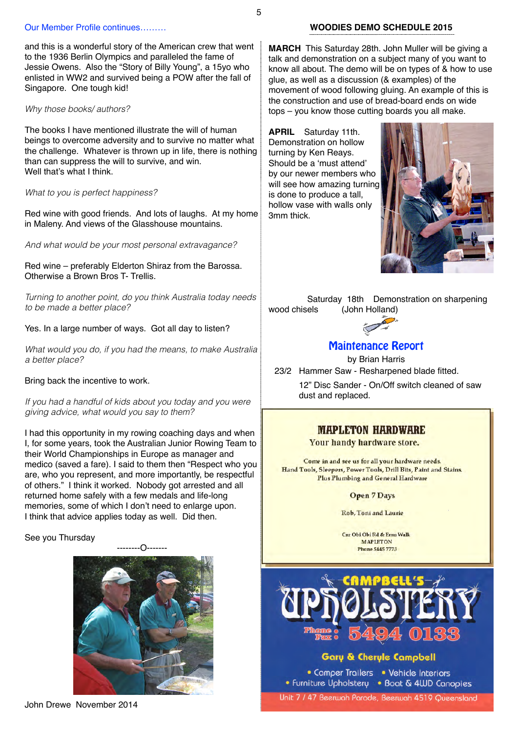and this is a wonderful story of the American crew that went to the 1936 Berlin Olympics and paralleled the fame of Jessie Owens. Also the "Story of Billy Young", a 15yo who enlisted in WW2 and survived being a POW after the fall of Singapore. One tough kid!

#### *Why those books/ authors?*

The books I have mentioned illustrate the will of human beings to overcome adversity and to survive no matter what the challenge. Whatever is thrown up in life, there is nothing than can suppress the will to survive, and win. Well that's what I think.

#### *What to you is perfect happiness?*

Red wine with good friends. And lots of laughs. At my home in Maleny. And views of the Glasshouse mountains.

*And what would be your most personal extravagance?*

Red wine – preferably Elderton Shiraz from the Barossa. Otherwise a Brown Bros T- Trellis.

*Turning to another point, do you think Australia today needs to be made a better place?*

#### Yes. In a large number of ways. Got all day to listen?

*What would you do, if you had the means, to make Australia a better place?*

#### Bring back the incentive to work.

*If you had a handful of kids about you today and you were giving advice, what would you say to them?*

I had this opportunity in my rowing coaching days and when I, for some years, took the Australian Junior Rowing Team to their World Championships in Europe as manager and medico (saved a fare). I said to them then "Respect who you are, who you represent, and more importantly, be respectful of others." I think it worked. Nobody got arrested and all returned home safely with a few medals and life-long memories, some of which I don't need to enlarge upon. I think that advice applies today as well. Did then.

#### See you Thursday



John Drewe November 2014

#### Our Member Profile continues……… **WOODIES DEMO SCHEDULE 2015**

**MARCH** This Saturday 28th. John Muller will be giving a talk and demonstration on a subject many of you want to know all about. The demo will be on types of & how to use glue, as well as a discussion (& examples) of the movement of wood following gluing. An example of this is the construction and use of bread-board ends on wide tops – you know those cutting boards you all make.

**APRIL** Saturday 11th. Demonstration on hollow turning by Ken Reays. Should be a 'must attend' by our newer members who will see how amazing turning is done to produce a tall, hollow vase with walls only 3mm thick.

![](_page_4_Picture_20.jpeg)

 Saturday 18th Demonstration on sharpening wood chisels (John Holland)

![](_page_4_Picture_22.jpeg)

## Maintenance Report

by Brian Harris 23/2 Hammer Saw - Resharpened blade fitted.

12" Disc Sander - On/Off switch cleaned of saw dust and replaced.

## **MAPLETON HARDWARE**

Your handy hardware store.

Come in and see us for all your hardware needs. Hand Tools, Sleepers, Power Tools, Drill Bits, Paint and Stains. Plus Plumbing and General Hardware

#### **Open 7 Days**

Rob, Toni and Laurie

Cnr Obi Obi Rd & Emu Walk **MAPLETON Phone 5445 7773** 

![](_page_4_Picture_32.jpeg)

#### **Gary & Cheryle Campbell**

• Comper Trailers • Vehicle Interiors • Furniture Upholstery • Boat & 4WD Canopies

Unit 7 / 47 Beerwah Parade, Beerwah 4519 Queensland